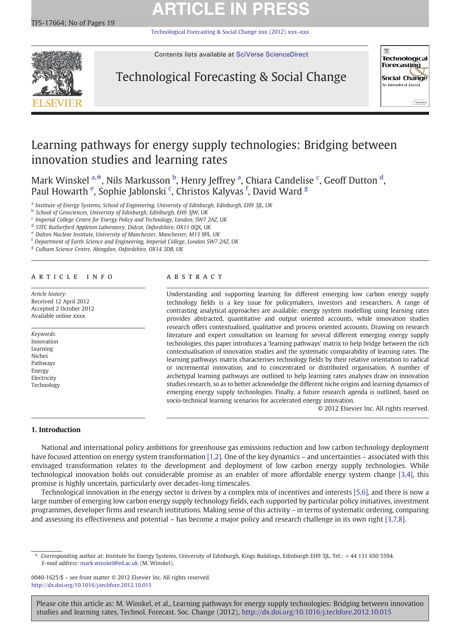# **ARTICLE IN PRESS**

[Technological Forecasting & Social Change xxx \(2012\) xxx](http://dx.doi.org/10.1016/j.techfore.2012.10.015)–xxx



Contents lists available at [SciVerse ScienceDirect](http://www.sciencedirect.com/science/journal/00401625)

## Technological Forecasting & Social Change



## Learning pathways for energy supply technologies: Bridging between innovation studies and learning rates

Mark Winskel <sup>a,\*</sup>, Nils Markusson <sup>b</sup>, Henry Jeffrey <sup>a</sup>, Chiara Candelise <sup>c</sup>, Geoff Dutton <sup>d</sup>, Paul Howarth  $\mathrm{^e}$ , Sophie Jablonski  $\mathrm{^c}$ , Christos Kalyvas  $\mathrm{^f}$ , David Ward  $\mathrm{^g}$ 

a Institute of Energy Systems, School of Engineering, University of Edinburgh, Edinburgh, EH9 3JL, UK

<sup>b</sup> School of Geosciences, University of Edinburgh, Edinburgh, EH9 3JW, UK

<sup>c</sup> Imperial College Centre for Energy Policy and Technology, London, SW7 2AZ, UK

<sup>d</sup> STFC Rutherford Appleton Laboratory, Didcot, Oxfordshire, OX11 0QX, UK

<sup>e</sup> Dalton Nuclear Institute, University of Manchester, Manchester, M13 9PL, UK

<sup>f</sup> Department of Earth Science and Engineering, Imperial College, London SW7 2AZ, UK

<sup>g</sup> Culham Science Centre, Abingdon, Oxfordshire, OX14 3DB, UK

### article info abstract

Article history: Received 12 April 2012 Accepted 2 October 2012 Available online xxxx

Keywords: Innovation Learning Niches Pathways Energy **Electricity** Technology

Understanding and supporting learning for different emerging low carbon energy supply technology fields is a key issue for policymakers, investors and researchers. A range of contrasting analytical approaches are available: energy system modelling using learning rates provides abstracted, quantitative and output oriented accounts, while innovation studies research offers contextualised, qualitative and process oriented accounts. Drawing on research literature and expert consultation on learning for several different emerging energy supply technologies, this paper introduces a 'learning pathways' matrix to help bridge between the rich contextualisation of innovation studies and the systematic comparability of learning rates. The learning pathways matrix characterises technology fields by their relative orientation to radical or incremental innovation, and to concentrated or distributed organisation. A number of archetypal learning pathways are outlined to help learning rates analyses draw on innovation studies research, so as to better acknowledge the different niche origins and learning dynamics of emerging energy supply technologies. Finally, a future research agenda is outlined, based on socio-technical learning scenarios for accelerated energy innovation.

© 2012 Elsevier Inc. All rights reserved.

### 1. Introduction

National and international policy ambitions for greenhouse gas emissions reduction and low carbon technology deployment have focused attention on energy system transformation [\[1,2\].](#page--1-0) One of the key dynamics – and uncertainties – associated with this envisaged transformation relates to the development and deployment of low carbon energy supply technologies. While technological innovation holds out considerable promise as an enabler of more affordable energy system change [\[3,4\]](#page--1-0), this promise is highly uncertain, particularly over decades-long timescales.

Technological innovation in the energy sector is driven by a complex mix of incentives and interests [\[5,6\],](#page--1-0) and there is now a large number of emerging low carbon energy supply technology fields, each supported by particular policy initiatives, investment programmes, developer firms and research institutions. Making sense of this activity – in terms of systematic ordering, comparing and assessing its effectiveness and potential – has become a major policy and research challenge in its own right [\[3,7,8\].](#page--1-0)

0040-1625/\$ – see front matter © 2012 Elsevier Inc. All rights reserved. <http://dx.doi.org/10.1016/j.techfore.2012.10.015>

Please cite this article as: M. Winskel, et al., Learning pathways for energy supply technologies: Bridging between innovation studies and learning rates, Technol. Forecast. Soc. Change (2012), <http://dx.doi.org/10.1016/j.techfore.2012.10.015>

Corresponding author at: Institute for Energy Systems, University of Edinburgh, Kings Buildings, Edinburgh EH9 3JL. Tel.: +44 131 650 5594. E-mail address: [mark.winskel@ed.ac.uk](mailto:mark.winskel@ed.ac.uk) (M. Winskel).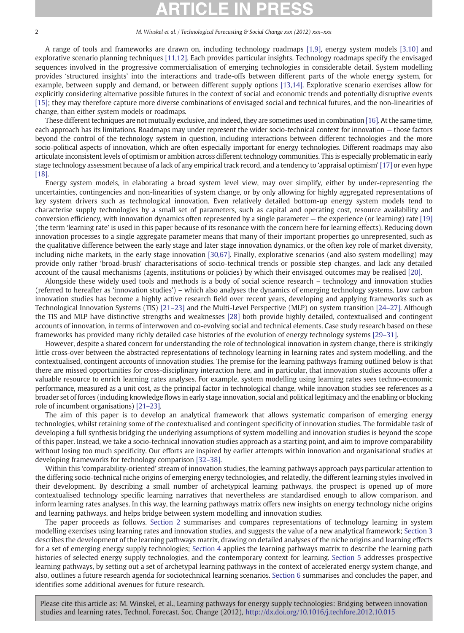### 2 M. Winskel et al. / Technological Forecasting & Social Change xxx (2012) xxx-xxx

A range of tools and frameworks are drawn on, including technology roadmaps [\[1,9\]](#page--1-0), energy system models [\[3,10\]](#page--1-0) and explorative scenario planning techniques [\[11,12\]](#page--1-0). Each provides particular insights. Technology roadmaps specify the envisaged sequences involved in the progressive commercialisation of emerging technologies in considerable detail. System modelling provides 'structured insights' into the interactions and trade-offs between different parts of the whole energy system, for example, between supply and demand, or between different supply options [\[13,14\].](#page--1-0) Explorative scenario exercises allow for explicitly considering alternative possible futures in the context of social and economic trends and potentially disruptive events [\[15\];](#page--1-0) they may therefore capture more diverse combinations of envisaged social and technical futures, and the non-linearities of change, than either system models or roadmaps.

These different techniques are not mutually exclusive, and indeed, they are sometimes used in combination [\[16\]](#page--1-0). At the same time, each approach has its limitations. Roadmaps may under represent the wider socio-technical context for innovation — those factors beyond the control of the technology system in question, including interactions between different technologies and the more socio-political aspects of innovation, which are often especially important for energy technologies. Different roadmaps may also articulate inconsistent levels of optimism or ambition across different technology communities. This is especially problematic in early stage technology assessment because of a lack of any empirical track record, and a tendency to 'appraisal optimism' [\[17\]](#page--1-0) or even hype [\[18\].](#page--1-0)

Energy system models, in elaborating a broad system level view, may over simplify, either by under-representing the uncertainties, contingencies and non-linearities of system change, or by only allowing for highly aggregated representations of key system drivers such as technological innovation. Even relatively detailed bottom-up energy system models tend to characterise supply technologies by a small set of parameters, such as capital and operating cost, resource availability and conversion efficiency, with innovation dynamics often represented by a single parameter — the experience (or learning) rate [\[19\]](#page--1-0) (the term 'learning rate' is used in this paper because of its resonance with the concern here for learning effects). Reducing down innovation processes to a single aggregate parameter means that many of their important properties go unrepresented, such as the qualitative difference between the early stage and later stage innovation dynamics, or the often key role of market diversity, including niche markets, in the early stage innovation [\[30,67\].](#page--1-0) Finally, explorative scenarios (and also system modelling) may provide only rather 'broad-brush' characterisations of socio-technical trends or possible step changes, and lack any detailed account of the causal mechanisms (agents, institutions or policies) by which their envisaged outcomes may be realised [\[20\].](#page--1-0)

Alongside these widely used tools and methods is a body of social science research – technology and innovation studies (referred to hereafter as 'innovation studies') – which also analyses the dynamics of emerging technology systems. Low carbon innovation studies has become a highly active research field over recent years, developing and applying frameworks such as Technological Innovation Systems (TIS) [\[21](#page--1-0)–23] and the Multi-Level Perspective (MLP) on system transition [24–[27\].](#page--1-0) Although the TIS and MLP have distinctive strengths and weaknesses [\[28\]](#page--1-0) both provide highly detailed, contextualised and contingent accounts of innovation, in terms of interwoven and co-evolving social and technical elements. Case study research based on these frameworks has provided many richly detailed case histories of the evolution of energy technology systems [29–[31\].](#page--1-0)

However, despite a shared concern for understanding the role of technological innovation in system change, there is strikingly little cross-over between the abstracted representations of technology learning in learning rates and system modelling, and the contextualised, contingent accounts of innovation studies. The premise for the learning pathways framing outlined below is that there are missed opportunities for cross-disciplinary interaction here, and in particular, that innovation studies accounts offer a valuable resource to enrich learning rates analyses. For example, system modelling using learning rates sees techno-economic performance, measured as a unit cost, as the principal factor in technological change, while innovation studies see references as a broader set of forces (including knowledge flows in early stage innovation, social and political legitimacy and the enabling or blocking role of incumbent organisations) [21–[23\].](#page--1-0)

The aim of this paper is to develop an analytical framework that allows systematic comparison of emerging energy technologies, whilst retaining some of the contextualised and contingent specificity of innovation studies. The formidable task of developing a full synthesis bridging the underlying assumptions of system modelling and innovation studies is beyond the scope of this paper. Instead, we take a socio-technical innovation studies approach as a starting point, and aim to improve comparability without losing too much specificity. Our efforts are inspired by earlier attempts within innovation and organisational studies at developing frameworks for technology comparison [\[32](#page--1-0)–38].

Within this 'comparability-oriented' stream of innovation studies, the learning pathways approach pays particular attention to the differing socio-technical niche origins of emerging energy technologies, and relatedly, the different learning styles involved in their development. By describing a small number of archetypical learning pathways, the prospect is opened up of more contextualised technology specific learning narratives that nevertheless are standardised enough to allow comparison, and inform learning rates analyses. In this way, the learning pathways matrix offers new insights on energy technology niche origins and learning pathways, and helps bridge between system modelling and innovation studies.

The paper proceeds as follows. [Section 2](#page--1-0) summarises and compares representations of technology learning in system modelling exercises using learning rates and innovation studies, and suggests the value of a new analytical framework; [Section 3](#page--1-0) describes the development of the learning pathways matrix, drawing on detailed analyses of the niche origins and learning effects for a set of emerging energy supply technologies; [Section 4](#page--1-0) applies the learning pathways matrix to describe the learning path histories of selected energy supply technologies, and the contemporary context for learning. [Section 5](#page--1-0) addresses prospective learning pathways, by setting out a set of archetypal learning pathways in the context of accelerated energy system change, and also, outlines a future research agenda for sociotechnical learning scenarios. [Section 6](#page--1-0) summarises and concludes the paper, and identifies some additional avenues for future research.

Please cite this article as: M. Winskel, et al., Learning pathways for energy supply technologies: Bridging between innovation studies and learning rates, Technol. Forecast. Soc. Change (2012), <http://dx.doi.org/10.1016/j.techfore.2012.10.015>